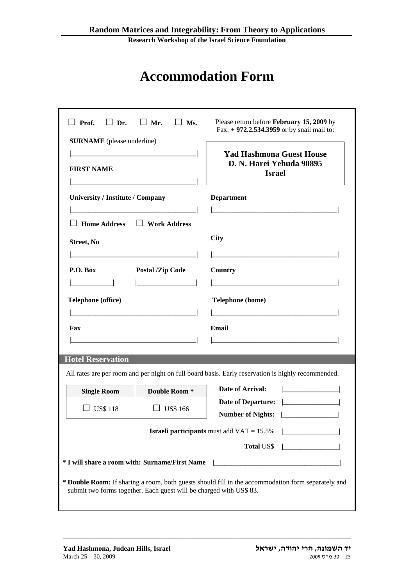**Research Workshop of the Israel Science Foundation** 

## **Accommodation Form**

| $\Box$ Prof. $\Box$ Dr.<br>$\Box$ Mr.<br>$\perp$ Ms.<br><b>SURNAME</b> (please underline)<br><b>FIRST NAME</b> | Please return before February 15, 2009 by<br>Fax: + 972.2.534.3959 or by snail mail to:<br><b>Yad Hashmona Guest House</b><br>D. N. Harei Yehuda 90895<br><b>Israel</b> |
|----------------------------------------------------------------------------------------------------------------|-------------------------------------------------------------------------------------------------------------------------------------------------------------------------|
| <b>University / Institute / Company</b>                                                                        | <b>Department</b>                                                                                                                                                       |
|                                                                                                                |                                                                                                                                                                         |
| Home Address □ Work Address                                                                                    |                                                                                                                                                                         |
| Street, No                                                                                                     | City                                                                                                                                                                    |
|                                                                                                                |                                                                                                                                                                         |
| P.O. Box<br><b>Postal /Zip Code</b>                                                                            | Country                                                                                                                                                                 |
|                                                                                                                |                                                                                                                                                                         |
| Telephone (office)                                                                                             | <b>Telephone</b> (home)                                                                                                                                                 |
|                                                                                                                |                                                                                                                                                                         |
| Fax                                                                                                            | Email                                                                                                                                                                   |
|                                                                                                                |                                                                                                                                                                         |
| <b>Hotel Reservation</b>                                                                                       |                                                                                                                                                                         |
|                                                                                                                | All rates are per room and per night on full board basis. Early reservation is highly recommended.                                                                      |
| Double Room <sup>*</sup><br><b>Single Room</b>                                                                 | Date of Arrival:                                                                                                                                                        |
| <b>US\$118</b><br><b>US\$ 166</b>                                                                              | <b>Date of Departure:</b>                                                                                                                                               |
|                                                                                                                | <b>Number of Nights:</b>                                                                                                                                                |
|                                                                                                                | <b>Israeli participants</b> must add $VAT = 15.5\%$ $\Box$                                                                                                              |
|                                                                                                                | Total US\$                                                                                                                                                              |
| * I will share a room with: Surname/First Name   ________________________________                              |                                                                                                                                                                         |
| submit two forms together. Each guest will be charged with US\$ 83.                                            | * Double Room: If sharing a room, both guests should fill in the accommodation form separately and                                                                      |

\_\_\_\_\_\_\_\_\_\_\_\_\_\_\_\_\_\_\_\_\_\_\_\_\_\_\_\_\_\_\_\_\_\_\_\_\_\_\_\_\_\_\_\_\_\_\_\_\_\_\_\_\_\_\_\_\_\_\_\_\_\_\_\_\_\_\_\_\_\_\_\_\_\_\_\_\_\_\_\_\_\_\_\_\_\_\_\_\_\_\_\_\_\_\_\_\_\_\_\_\_\_\_\_\_\_\_\_\_\_\_\_\_\_\_\_\_\_\_\_\_\_\_\_\_\_\_\_\_\_\_\_\_\_\_\_\_\_